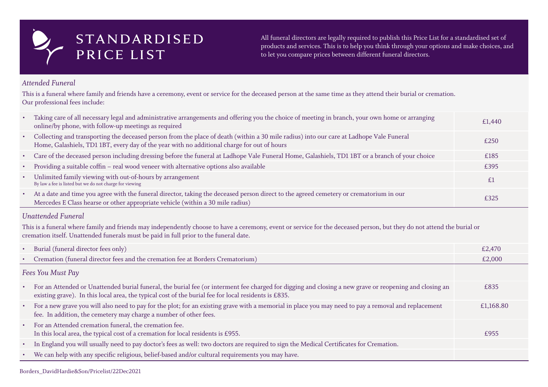## *Attended Funeral*

This is a funeral where family and friends have a ceremony, event or service for the deceased person at the same time as they attend their burial or cremation. Our professional fees include:

- Taking care of all necessary legal and administrative arrangements and offering you the choice of meeting in branch, your own home or arr online/by phone, with follow-up meetings as required
- Collecting and transporting the deceased person from the place of death (within a 30 mile radius) into our care at Ladhope Vale Funeral Home, Galashiels, TD1 1BT, every day of the year with no additional charge for out of hours
- Care of the deceased person including dressing before the funeral at Ladhope Vale Funeral Home, Galashiels, TD1 1BT or a branch of your
- Providing a suitable coffin real wood veneer with alternative options also available
- Unlimited family viewing with out-of-hours by arrangement By law a fee is listed but we do not charge for viewing
- At a date and time you agree with the funeral director, taking the deceased person direct to the agreed cemetery or crematorium in our Mercedes E Class hearse or other appropriate vehicle (within a 30 mile radius)

| ranging | £1,440 |  |  |  |
|---------|--------|--|--|--|
|         | £250   |  |  |  |
| choice  | £185   |  |  |  |
|         | £395   |  |  |  |
|         | £1     |  |  |  |
|         | £325   |  |  |  |

### *Unattended Funeral*

This is a funeral where family and friends may independently choose to have a ceremony, event or service for the deceased person, but they do not attend the burial or cremation itself. Unattended funerals must be paid in full prior to the funeral date.

- Burial (funeral director fees only)
- Cremation (funeral director fees and the cremation fee at Borders Crematorium)

# *Fees You Must Pay*

|               | £2,470    |  |  |  |
|---------------|-----------|--|--|--|
|               | £2,000    |  |  |  |
|               |           |  |  |  |
| nd closing an | £835      |  |  |  |
| placement     | £1,168.80 |  |  |  |
|               | £955      |  |  |  |
|               |           |  |  |  |
|               |           |  |  |  |

- For an Attended or Unattended burial funeral, the burial fee (or interment fee charged for digging and closing a new grave or reopening and closing an existing grave). In this local area, the typical cost of the burial fee for local residents is £835.
- For a new grave you will also need to pay for the plot; for an existing grave with a memorial in place you may need to pay a removal and rep fee. In addition, the cemetery may charge a number of other fees.
- For an Attended cremation funeral, the cremation fee. In this local area, the typical cost of a cremation for local residents is £955.
- In England you will usually need to pay doctor's fees as well: two doctors are required to sign the Medical Certificates for Cremation.
- We can help with any specific religious, belief-based and/or cultural requirements you may have.

# STANDARDISED PRICE LIST

All funeral directors are legally required to publish this Price List for a standardised set of products and services. This is to help you think through your options and make choices, and to let you compare prices between different funeral directors.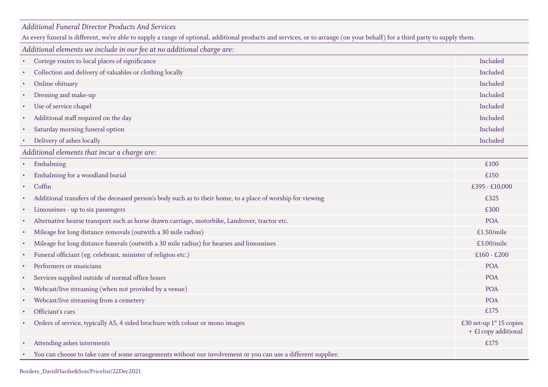### *Additional Funeral Director Products And Services*

As every funeral is different, we're able to supply a range of optional, additional products and services, or to arrange (on your behalf) for a third party to supply them.

*Additional elements we include in our fee at no additional charge are:*

- Cortege routes to local places of significance
- Collection and delivery of valuables or clothing locally
- Online obituary Included
- Dressing and make-up
- Use of service chapel
- Additional staff required on the day
- Saturday morning funeral option
- Delivery of ashes locally

*Additional elements that incur a charge are:*

- $\blacksquare$  Embalming  $\blacksquare$
- Embalming for a woodland burial
- 
- Additional transfers of the deceased person's body such as to their home, to a place of worship for viewing
- Limousines up to six passengers
- Alternative hearse transport such as horse drawn carriage, motorbike, Landrover, tractor etc.
- Mileage for long distance removals (outwith a 30 mile radius)
- Mileage for long distance funerals (outwith a 30 mile radius) for hearses and limousines
- Funeral officiant (eg. celebrant, minister of religion etc.)
- Performers or musicians
- Services supplied outside of normal office hours
- Webcast/live streaming (when not provided by a venue)
- Webcast/live streaming from a cemetery
- Officiant's cars
- Orders of service, typically A5, 4 sided brochure with colour or mono images
- Attending ashes interments
- You can choose to take care of some arrangements without our involvement or you can use a different supplier.

| $\bullet$ | Embalming                                                                                                   | £100                                                  |
|-----------|-------------------------------------------------------------------------------------------------------------|-------------------------------------------------------|
|           | Embalming for a woodland burial                                                                             | £150                                                  |
| $\bullet$ | Coffin                                                                                                      | £395 - £10,000                                        |
|           | Additional transfers of the deceased person's body such as to their home, to a place of worship for viewing | £325                                                  |
| $\bullet$ | Limousines - up to six passengers                                                                           | £300                                                  |
|           | Alternative hearse transport such as horse drawn carriage, motorbike, Landrover, tractor etc.               | <b>POA</b>                                            |
| $\bullet$ | Mileage for long distance removals (outwith a 30 mile radius)                                               | £1.50/mile                                            |
| $\bullet$ | Mileage for long distance funerals (outwith a 30 mile radius) for hearses and limousines                    | £3.00/mile                                            |
| $\bullet$ | Funeral officiant (eg. celebrant, minister of religion etc.)                                                | $£160 - £200$                                         |
|           | Performers or musicians                                                                                     | <b>POA</b>                                            |
|           | Services supplied outside of normal office hours                                                            | <b>POA</b>                                            |
| $\bullet$ | Webcast/live streaming (when not provided by a venue)                                                       | <b>POA</b>                                            |
| $\bullet$ | Webcast/live streaming from a cemetery                                                                      | <b>POA</b>                                            |
| $\bullet$ | Officiant's cars                                                                                            | £175                                                  |
|           | Orders of service, typically A5, 4 sided brochure with colour or mono images                                | £30 set-up $1^{st}$ 15 copies<br>+ £1 copy additional |
|           | Attending ashes interments                                                                                  | £175                                                  |
|           |                                                                                                             |                                                       |

Borders\_DavidHardie&Son/Pricelist/22Dec2021

| Included        |
|-----------------|
| Included        |
| Included        |
| Included        |
| Included        |
| <b>Included</b> |
| Included        |
| Included        |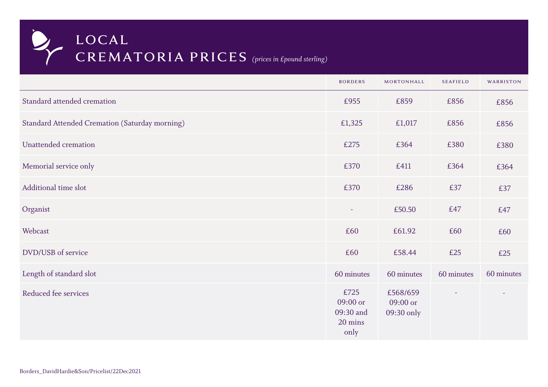|                                                       | <b>BORDERS</b>                                   | MORTONHALL                         | <b>SEAFIELD</b> | WARRISTON  |
|-------------------------------------------------------|--------------------------------------------------|------------------------------------|-----------------|------------|
| Standard attended cremation                           | £955                                             | £859                               | £856            | £856       |
| <b>Standard Attended Cremation (Saturday morning)</b> | £1,325                                           | £1,017                             | £856            | £856       |
| Unattended cremation                                  | £275                                             | £364                               | £380            | £380       |
| Memorial service only                                 | £370                                             | £411                               | £364            | £364       |
| Additional time slot                                  | £370                                             | £286                               | £37             | £37        |
| Organist                                              | $\overline{\phantom{a}}$                         | £50.50                             | £47             | £47        |
| Webcast                                               | £60                                              | £61.92                             | £60             | £60        |
| DVD/USB of service                                    | £60                                              | £58.44                             | £25             | £25        |
| Length of standard slot                               | 60 minutes                                       | 60 minutes                         | 60 minutes      | 60 minutes |
| Reduced fee services                                  | £725<br>09:00 or<br>09:30 and<br>20 mins<br>only | £568/659<br>09:00 or<br>09:30 only |                 |            |